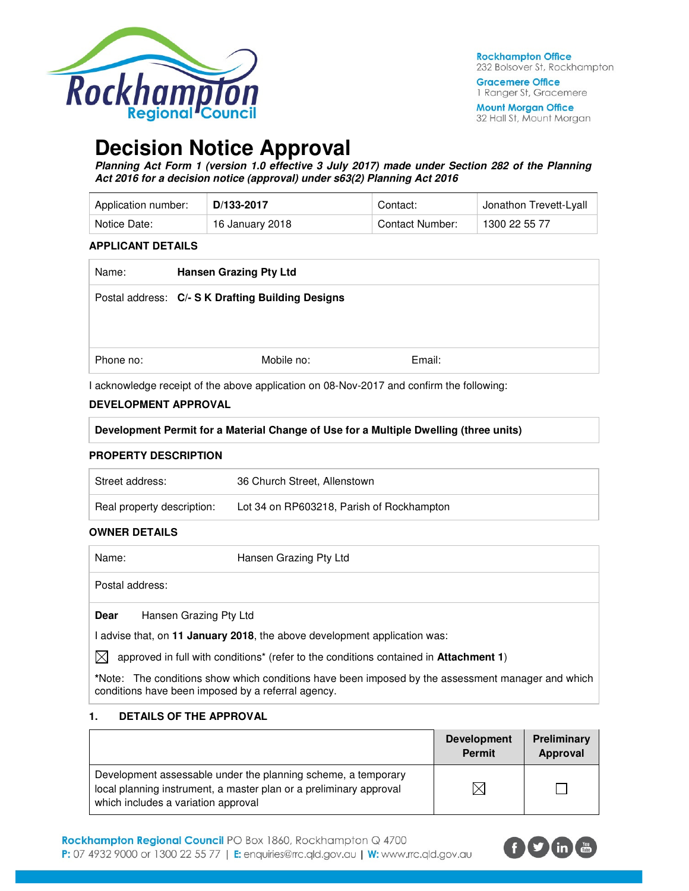

**Gracemere Office** 1 Ranger St, Gracemere

**Mount Morgan Office** 32 Hall St, Mount Morgan

# **Decision Notice Approval**

**Planning Act Form 1 (version 1.0 effective 3 July 2017) made under Section 282 of the Planning Act 2016 for a decision notice (approval) under s63(2) Planning Act 2016** 

| Application number: | D/133-2017      | Contact:        | <sup>⊥</sup> Jonathon Trevett-Lyall |
|---------------------|-----------------|-----------------|-------------------------------------|
| Notice Date:        | 16 January 2018 | Contact Number: | 1300 22 55 77                       |

#### **APPLICANT DETAILS**

| Name:     | <b>Hansen Grazing Pty Ltd</b>                     |        |
|-----------|---------------------------------------------------|--------|
|           | Postal address: C/- S K Drafting Building Designs |        |
| Phone no: | Mobile no:                                        | Email: |

I acknowledge receipt of the above application on 08-Nov-2017 and confirm the following:

#### **DEVELOPMENT APPROVAL**

# **Development Permit for a Material Change of Use for a Multiple Dwelling (three units)**

#### **PROPERTY DESCRIPTION**

| Street address:            | 36 Church Street, Allenstown              |
|----------------------------|-------------------------------------------|
| Real property description: | Lot 34 on RP603218, Parish of Rockhampton |

## **OWNER DETAILS**

| Name:           | Hansen Grazing Pty Ltd |
|-----------------|------------------------|
| Postal address: |                        |
|                 |                        |

**Dear** Hansen Grazing Pty Ltd

I advise that, on **11 January 2018**, the above development application was:

 $\boxtimes$  approved in full with conditions<sup>\*</sup> (refer to the conditions contained in **Attachment 1**)

**\***Note:The conditions show which conditions have been imposed by the assessment manager and which conditions have been imposed by a referral agency.

#### **1. DETAILS OF THE APPROVAL**

|                                                                                                                                                                            | <b>Development</b><br><b>Permit</b> | Preliminary<br>Approval |
|----------------------------------------------------------------------------------------------------------------------------------------------------------------------------|-------------------------------------|-------------------------|
| Development assessable under the planning scheme, a temporary<br>local planning instrument, a master plan or a preliminary approval<br>which includes a variation approval | X                                   |                         |

Rockhampton Regional Council PO Box 1860, Rockhampton Q 4700 P: 07 4932 9000 or 1300 22 55 77 | E: enquiries@rrc.qld.gov.au | W: www.rrc.qld.gov.au

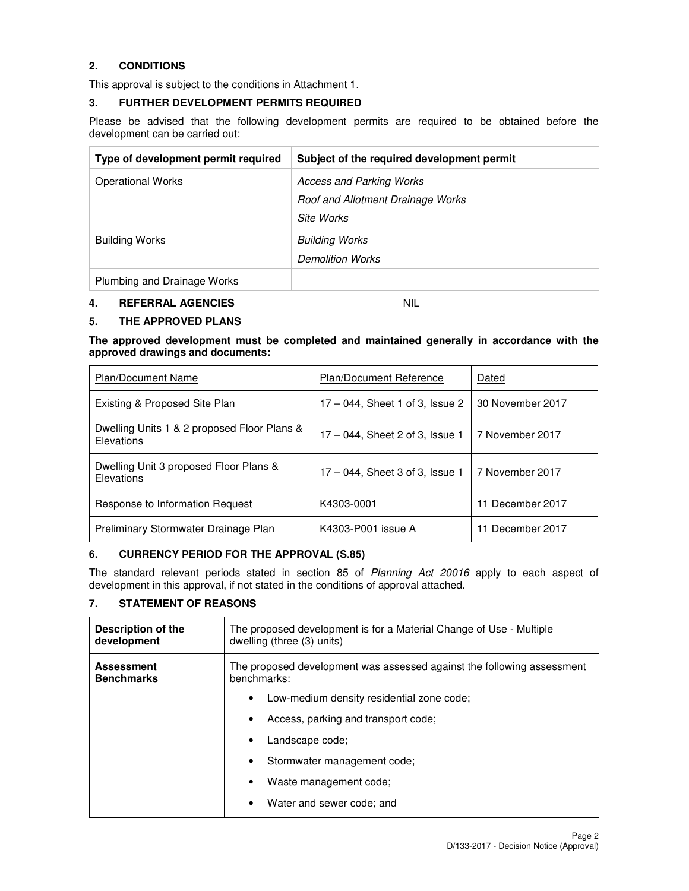# **2. CONDITIONS**

This approval is subject to the conditions in Attachment 1.

#### **3. FURTHER DEVELOPMENT PERMITS REQUIRED**

Please be advised that the following development permits are required to be obtained before the development can be carried out:

| Type of development permit required | Subject of the required development permit |
|-------------------------------------|--------------------------------------------|
| <b>Operational Works</b>            | <b>Access and Parking Works</b>            |
|                                     | Roof and Allotment Drainage Works          |
|                                     | Site Works                                 |
| <b>Building Works</b>               | <b>Building Works</b>                      |
|                                     | <b>Demolition Works</b>                    |
| Plumbing and Drainage Works         |                                            |

#### **4. REFERRAL AGENCIES** NIL

# **5. THE APPROVED PLANS**

**The approved development must be completed and maintained generally in accordance with the approved drawings and documents:** 

| <b>Plan/Document Name</b>                                 | <b>Plan/Document Reference</b>     | Dated            |
|-----------------------------------------------------------|------------------------------------|------------------|
| Existing & Proposed Site Plan                             | $17 - 044$ , Sheet 1 of 3, Issue 2 | 30 November 2017 |
| Dwelling Units 1 & 2 proposed Floor Plans &<br>Elevations | $17 - 044$ , Sheet 2 of 3, Issue 1 | 7 November 2017  |
| Dwelling Unit 3 proposed Floor Plans &<br>Elevations      | $17 - 044$ , Sheet 3 of 3, Issue 1 | 7 November 2017  |
| Response to Information Request                           | K4303-0001                         | 11 December 2017 |
| Preliminary Stormwater Drainage Plan                      | K4303-P001 issue A                 | 11 December 2017 |

## **6. CURRENCY PERIOD FOR THE APPROVAL (S.85)**

The standard relevant periods stated in section 85 of Planning Act 20016 apply to each aspect of development in this approval, if not stated in the conditions of approval attached.

## **7. STATEMENT OF REASONS**

| Description of the<br>development      | The proposed development is for a Material Change of Use - Multiple<br>dwelling (three (3) units) |  |
|----------------------------------------|---------------------------------------------------------------------------------------------------|--|
| <b>Assessment</b><br><b>Benchmarks</b> | The proposed development was assessed against the following assessment<br>benchmarks:             |  |
|                                        | Low-medium density residential zone code;<br>٠                                                    |  |
|                                        | Access, parking and transport code;                                                               |  |
|                                        | Landscape code;                                                                                   |  |
|                                        | Stormwater management code:<br>$\bullet$                                                          |  |
|                                        | Waste management code;                                                                            |  |
|                                        | Water and sewer code; and                                                                         |  |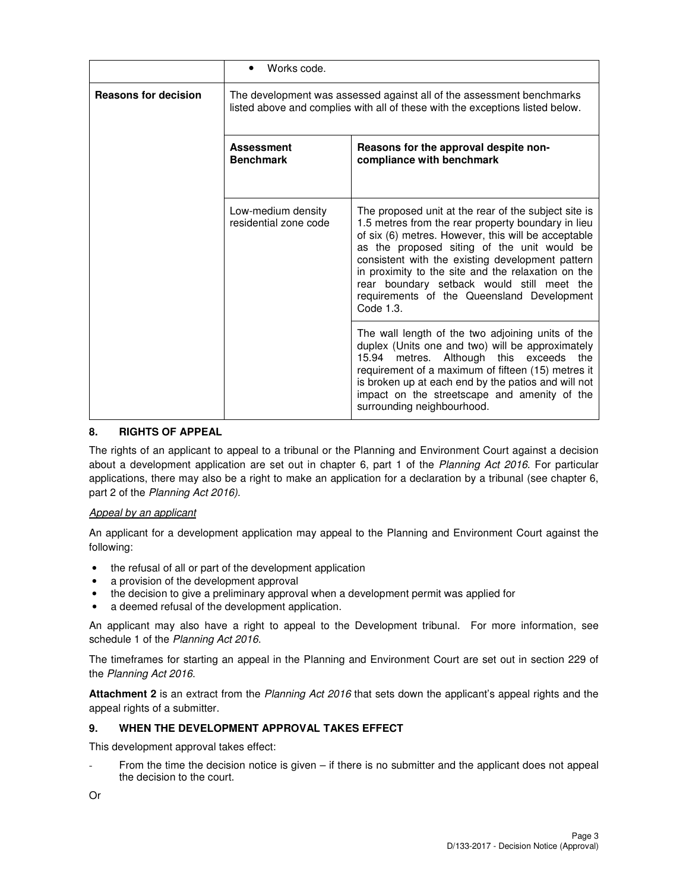|                             | Works code.                                                                                                                                            |                                                                                                                                                                                                                                                                                                                                                                                                                                     |  |
|-----------------------------|--------------------------------------------------------------------------------------------------------------------------------------------------------|-------------------------------------------------------------------------------------------------------------------------------------------------------------------------------------------------------------------------------------------------------------------------------------------------------------------------------------------------------------------------------------------------------------------------------------|--|
| <b>Reasons for decision</b> | The development was assessed against all of the assessment benchmarks<br>listed above and complies with all of these with the exceptions listed below. |                                                                                                                                                                                                                                                                                                                                                                                                                                     |  |
|                             | <b>Assessment</b><br><b>Benchmark</b>                                                                                                                  | Reasons for the approval despite non-<br>compliance with benchmark                                                                                                                                                                                                                                                                                                                                                                  |  |
|                             | Low-medium density<br>residential zone code                                                                                                            | The proposed unit at the rear of the subject site is<br>1.5 metres from the rear property boundary in lieu<br>of six (6) metres. However, this will be acceptable<br>as the proposed siting of the unit would be<br>consistent with the existing development pattern<br>in proximity to the site and the relaxation on the<br>rear boundary setback would still meet the<br>requirements of the Queensland Development<br>Code 1.3. |  |
|                             |                                                                                                                                                        | The wall length of the two adjoining units of the<br>duplex (Units one and two) will be approximately<br>15.94 metres. Although this exceeds<br>the<br>requirement of a maximum of fifteen (15) metres it<br>is broken up at each end by the patios and will not<br>impact on the streetscape and amenity of the<br>surrounding neighbourhood.                                                                                      |  |

## **8. RIGHTS OF APPEAL**

The rights of an applicant to appeal to a tribunal or the Planning and Environment Court against a decision about a development application are set out in chapter 6, part 1 of the Planning Act 2016. For particular applications, there may also be a right to make an application for a declaration by a tribunal (see chapter 6, part 2 of the Planning Act 2016).

## Appeal by an applicant

An applicant for a development application may appeal to the Planning and Environment Court against the following:

- the refusal of all or part of the development application
- a provision of the development approval
- the decision to give a preliminary approval when a development permit was applied for
- a deemed refusal of the development application.

An applicant may also have a right to appeal to the Development tribunal. For more information, see schedule 1 of the Planning Act 2016.

The timeframes for starting an appeal in the Planning and Environment Court are set out in section 229 of the Planning Act 2016.

**Attachment 2** is an extract from the Planning Act 2016 that sets down the applicant's appeal rights and the appeal rights of a submitter.

## **9. WHEN THE DEVELOPMENT APPROVAL TAKES EFFECT**

This development approval takes effect:

From the time the decision notice is given  $-$  if there is no submitter and the applicant does not appeal the decision to the court.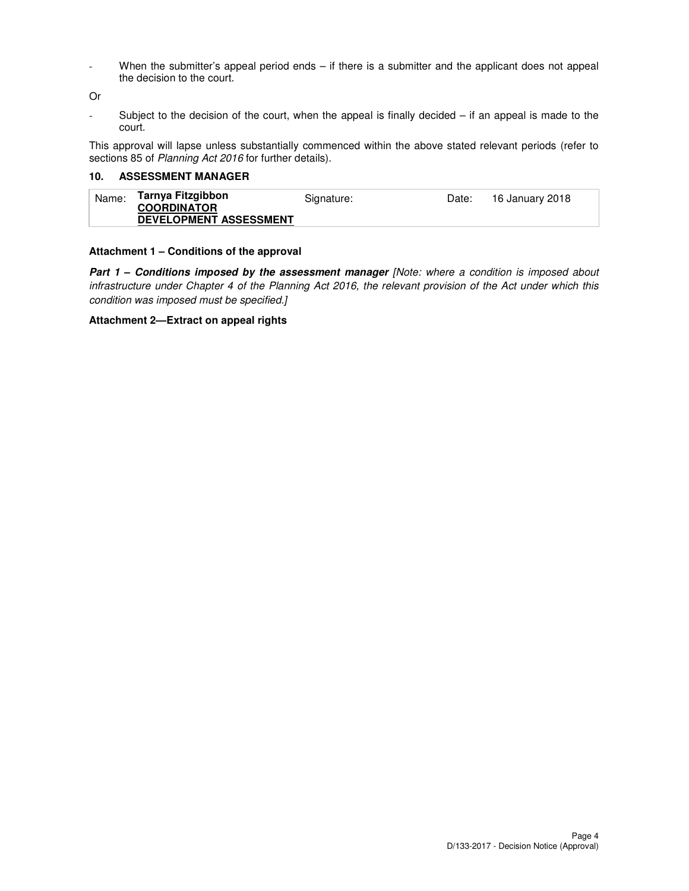- When the submitter's appeal period ends – if there is a submitter and the applicant does not appeal the decision to the court.

Or

- Subject to the decision of the court, when the appeal is finally decided – if an appeal is made to the court.

This approval will lapse unless substantially commenced within the above stated relevant periods (refer to sections 85 of Planning Act 2016 for further details).

#### **10. ASSESSMENT MANAGER**

| Tarnya Fitzgibbon<br>Name:<br>Signature:<br>16 January 2018<br>Date:<br><b>COORDINATOR</b><br><b>DEVELOPMENT ASSESSMENT</b> |  |
|-----------------------------------------------------------------------------------------------------------------------------|--|
|-----------------------------------------------------------------------------------------------------------------------------|--|

## **Attachment 1 – Conditions of the approval**

**Part 1 - Conditions imposed by the assessment manager [Note: where a condition is imposed about** infrastructure under Chapter 4 of the Planning Act 2016, the relevant provision of the Act under which this condition was imposed must be specified.]

#### **Attachment 2—Extract on appeal rights**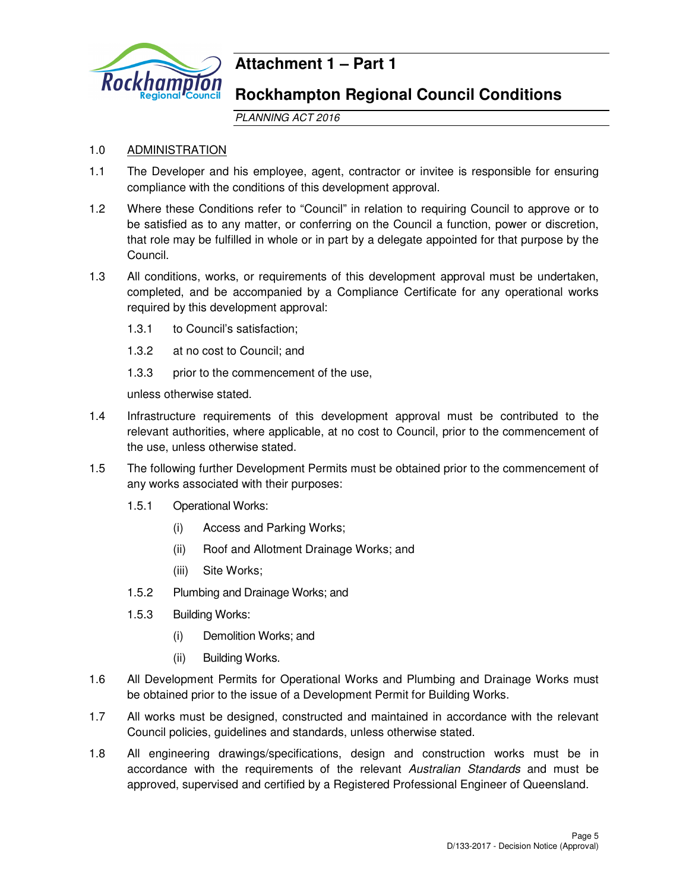

# **Attachment 1 – Part 1**

# **Rockhampton Regional Council Conditions**

PLANNING ACT 2016

# 1.0 ADMINISTRATION

- 1.1 The Developer and his employee, agent, contractor or invitee is responsible for ensuring compliance with the conditions of this development approval.
- 1.2 Where these Conditions refer to "Council" in relation to requiring Council to approve or to be satisfied as to any matter, or conferring on the Council a function, power or discretion, that role may be fulfilled in whole or in part by a delegate appointed for that purpose by the Council.
- 1.3 All conditions, works, or requirements of this development approval must be undertaken, completed, and be accompanied by a Compliance Certificate for any operational works required by this development approval:
	- 1.3.1 to Council's satisfaction;
	- 1.3.2 at no cost to Council; and
	- 1.3.3 prior to the commencement of the use,

unless otherwise stated.

- 1.4 Infrastructure requirements of this development approval must be contributed to the relevant authorities, where applicable, at no cost to Council, prior to the commencement of the use, unless otherwise stated.
- 1.5 The following further Development Permits must be obtained prior to the commencement of any works associated with their purposes:
	- 1.5.1 Operational Works:
		- (i) Access and Parking Works;
		- (ii) Roof and Allotment Drainage Works; and
		- (iii) Site Works;
	- 1.5.2 Plumbing and Drainage Works; and
	- 1.5.3 Building Works:
		- (i) Demolition Works; and
		- (ii) Building Works.
- 1.6 All Development Permits for Operational Works and Plumbing and Drainage Works must be obtained prior to the issue of a Development Permit for Building Works.
- 1.7 All works must be designed, constructed and maintained in accordance with the relevant Council policies, guidelines and standards, unless otherwise stated.
- 1.8 All engineering drawings/specifications, design and construction works must be in accordance with the requirements of the relevant Australian Standards and must be approved, supervised and certified by a Registered Professional Engineer of Queensland.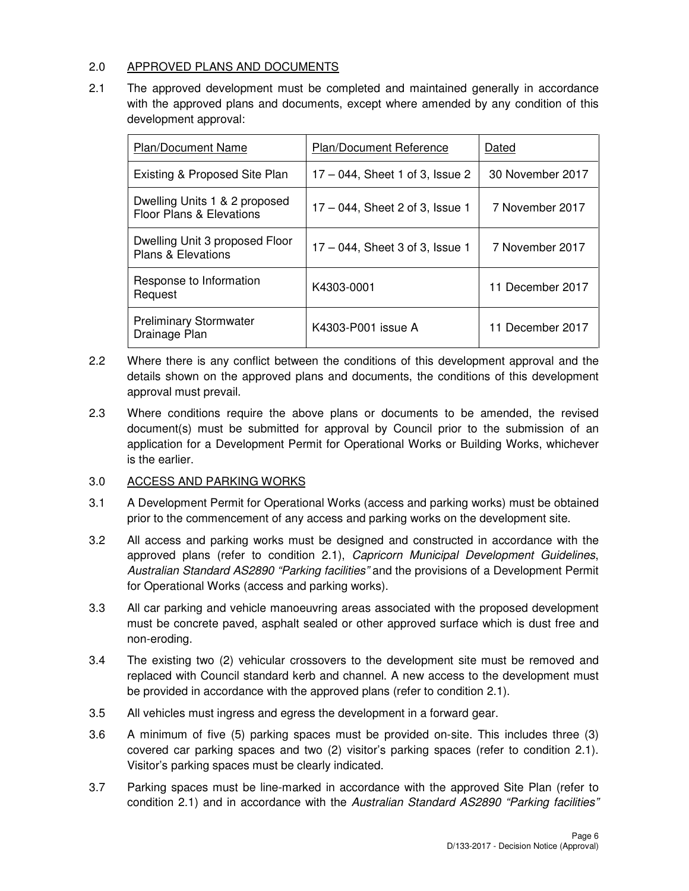# 2.0 APPROVED PLANS AND DOCUMENTS

2.1 The approved development must be completed and maintained generally in accordance with the approved plans and documents, except where amended by any condition of this development approval:

| Plan/Document Name                                                   | Plan/Document Reference            | Dated            |
|----------------------------------------------------------------------|------------------------------------|------------------|
| Existing & Proposed Site Plan                                        | $17 - 044$ , Sheet 1 of 3, Issue 2 | 30 November 2017 |
| Dwelling Units 1 & 2 proposed<br><b>Floor Plans &amp; Elevations</b> | 17 – 044, Sheet 2 of 3, Issue 1    | 7 November 2017  |
| Dwelling Unit 3 proposed Floor<br><b>Plans &amp; Elevations</b>      | $17 - 044$ , Sheet 3 of 3, Issue 1 | 7 November 2017  |
| Response to Information<br>Request                                   | K4303-0001                         | 11 December 2017 |
| <b>Preliminary Stormwater</b><br>Drainage Plan                       | K4303-P001 issue A                 | 11 December 2017 |

- 2.2 Where there is any conflict between the conditions of this development approval and the details shown on the approved plans and documents, the conditions of this development approval must prevail.
- 2.3 Where conditions require the above plans or documents to be amended, the revised document(s) must be submitted for approval by Council prior to the submission of an application for a Development Permit for Operational Works or Building Works, whichever is the earlier.

# 3.0 ACCESS AND PARKING WORKS

- 3.1 A Development Permit for Operational Works (access and parking works) must be obtained prior to the commencement of any access and parking works on the development site.
- 3.2 All access and parking works must be designed and constructed in accordance with the approved plans (refer to condition 2.1), Capricorn Municipal Development Guidelines, Australian Standard AS2890 "Parking facilities" and the provisions of a Development Permit for Operational Works (access and parking works).
- 3.3 All car parking and vehicle manoeuvring areas associated with the proposed development must be concrete paved, asphalt sealed or other approved surface which is dust free and non-eroding.
- 3.4 The existing two (2) vehicular crossovers to the development site must be removed and replaced with Council standard kerb and channel. A new access to the development must be provided in accordance with the approved plans (refer to condition 2.1).
- 3.5 All vehicles must ingress and egress the development in a forward gear.
- 3.6 A minimum of five (5) parking spaces must be provided on-site. This includes three (3) covered car parking spaces and two (2) visitor's parking spaces (refer to condition 2.1). Visitor's parking spaces must be clearly indicated.
- 3.7 Parking spaces must be line-marked in accordance with the approved Site Plan (refer to condition 2.1) and in accordance with the Australian Standard AS2890 "Parking facilities"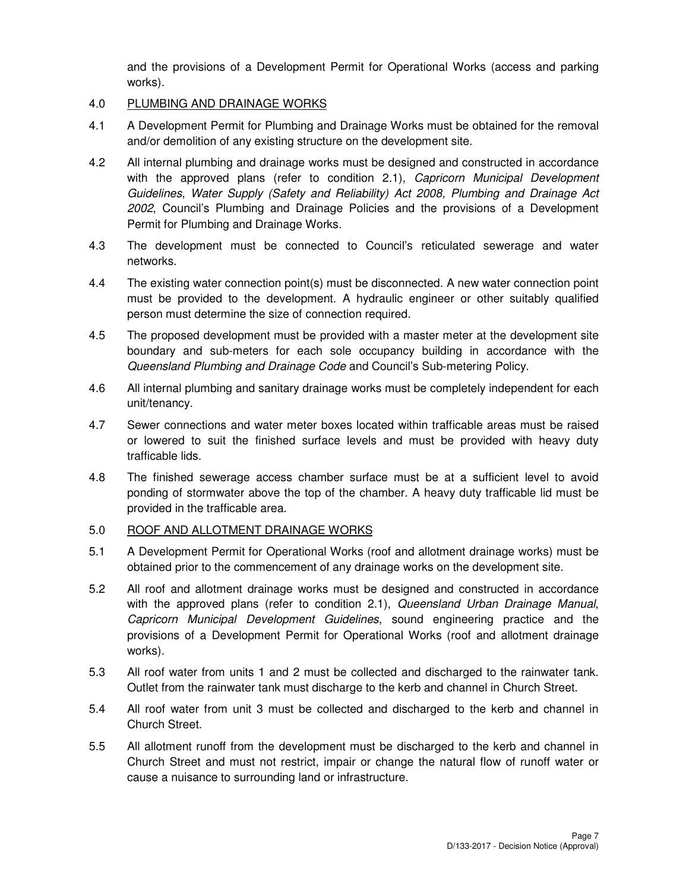and the provisions of a Development Permit for Operational Works (access and parking works).

# 4.0 PLUMBING AND DRAINAGE WORKS

- 4.1 A Development Permit for Plumbing and Drainage Works must be obtained for the removal and/or demolition of any existing structure on the development site.
- 4.2 All internal plumbing and drainage works must be designed and constructed in accordance with the approved plans (refer to condition 2.1), Capricorn Municipal Development Guidelines, Water Supply (Safety and Reliability) Act 2008, Plumbing and Drainage Act 2002, Council's Plumbing and Drainage Policies and the provisions of a Development Permit for Plumbing and Drainage Works.
- 4.3 The development must be connected to Council's reticulated sewerage and water networks.
- 4.4 The existing water connection point(s) must be disconnected. A new water connection point must be provided to the development. A hydraulic engineer or other suitably qualified person must determine the size of connection required.
- 4.5 The proposed development must be provided with a master meter at the development site boundary and sub-meters for each sole occupancy building in accordance with the Queensland Plumbing and Drainage Code and Council's Sub-metering Policy.
- 4.6 All internal plumbing and sanitary drainage works must be completely independent for each unit/tenancy.
- 4.7 Sewer connections and water meter boxes located within trafficable areas must be raised or lowered to suit the finished surface levels and must be provided with heavy duty trafficable lids.
- 4.8 The finished sewerage access chamber surface must be at a sufficient level to avoid ponding of stormwater above the top of the chamber. A heavy duty trafficable lid must be provided in the trafficable area.

# 5.0 ROOF AND ALLOTMENT DRAINAGE WORKS

- 5.1 A Development Permit for Operational Works (roof and allotment drainage works) must be obtained prior to the commencement of any drainage works on the development site.
- 5.2 All roof and allotment drainage works must be designed and constructed in accordance with the approved plans (refer to condition 2.1), Queensland Urban Drainage Manual, Capricorn Municipal Development Guidelines, sound engineering practice and the provisions of a Development Permit for Operational Works (roof and allotment drainage works).
- 5.3 All roof water from units 1 and 2 must be collected and discharged to the rainwater tank. Outlet from the rainwater tank must discharge to the kerb and channel in Church Street.
- 5.4 All roof water from unit 3 must be collected and discharged to the kerb and channel in Church Street.
- 5.5 All allotment runoff from the development must be discharged to the kerb and channel in Church Street and must not restrict, impair or change the natural flow of runoff water or cause a nuisance to surrounding land or infrastructure.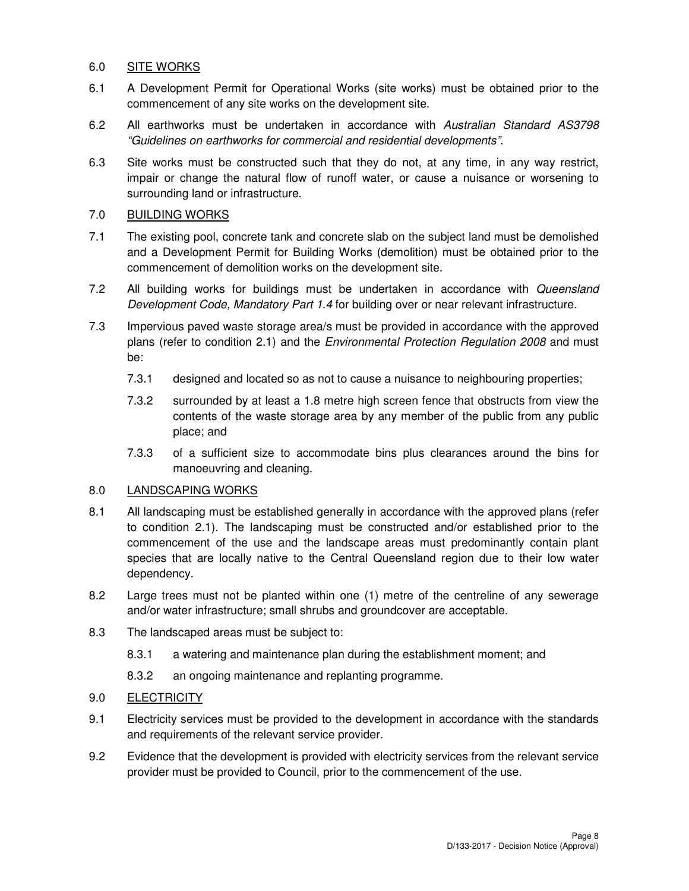# 6.0 SITE WORKS

- 6.1 A Development Permit for Operational Works (site works) must be obtained prior to the commencement of any site works on the development site.
- 6.2 All earthworks must be undertaken in accordance with Australian Standard AS3798 "Guidelines on earthworks for commercial and residential developments".
- 6.3 Site works must be constructed such that they do not, at any time, in any way restrict, impair or change the natural flow of runoff water, or cause a nuisance or worsening to surrounding land or infrastructure.

# 7.0 BUILDING WORKS

- 7.1 The existing pool, concrete tank and concrete slab on the subject land must be demolished and a Development Permit for Building Works (demolition) must be obtained prior to the commencement of demolition works on the development site.
- 7.2 All building works for buildings must be undertaken in accordance with Queensland Development Code, Mandatory Part 1.4 for building over or near relevant infrastructure.
- 7.3 Impervious paved waste storage area/s must be provided in accordance with the approved plans (refer to condition 2.1) and the Environmental Protection Regulation 2008 and must be:
	- 7.3.1 designed and located so as not to cause a nuisance to neighbouring properties;
	- 7.3.2 surrounded by at least a 1.8 metre high screen fence that obstructs from view the contents of the waste storage area by any member of the public from any public place; and
	- 7.3.3 of a sufficient size to accommodate bins plus clearances around the bins for manoeuvring and cleaning.

# 8.0 LANDSCAPING WORKS

- 8.1 All landscaping must be established generally in accordance with the approved plans (refer to condition 2.1). The landscaping must be constructed and/or established prior to the commencement of the use and the landscape areas must predominantly contain plant species that are locally native to the Central Queensland region due to their low water dependency.
- 8.2 Large trees must not be planted within one (1) metre of the centreline of any sewerage and/or water infrastructure; small shrubs and groundcover are acceptable.
- 8.3 The landscaped areas must be subject to:
	- 8.3.1 a watering and maintenance plan during the establishment moment; and
	- 8.3.2 an ongoing maintenance and replanting programme.

# 9.0 ELECTRICITY

- 9.1 Electricity services must be provided to the development in accordance with the standards and requirements of the relevant service provider.
- 9.2 Evidence that the development is provided with electricity services from the relevant service provider must be provided to Council, prior to the commencement of the use.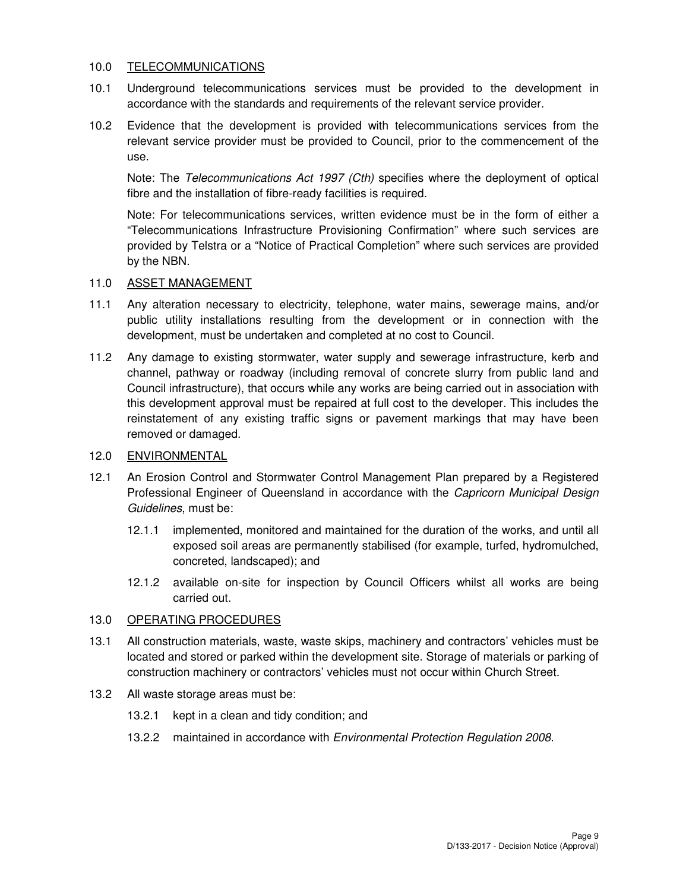# 10.0 TELECOMMUNICATIONS

- 10.1 Underground telecommunications services must be provided to the development in accordance with the standards and requirements of the relevant service provider.
- 10.2 Evidence that the development is provided with telecommunications services from the relevant service provider must be provided to Council, prior to the commencement of the use.

Note: The Telecommunications Act 1997 (Cth) specifies where the deployment of optical fibre and the installation of fibre-ready facilities is required.

Note: For telecommunications services, written evidence must be in the form of either a "Telecommunications Infrastructure Provisioning Confirmation" where such services are provided by Telstra or a "Notice of Practical Completion" where such services are provided by the NBN.

# 11.0 ASSET MANAGEMENT

- 11.1 Any alteration necessary to electricity, telephone, water mains, sewerage mains, and/or public utility installations resulting from the development or in connection with the development, must be undertaken and completed at no cost to Council.
- 11.2 Any damage to existing stormwater, water supply and sewerage infrastructure, kerb and channel, pathway or roadway (including removal of concrete slurry from public land and Council infrastructure), that occurs while any works are being carried out in association with this development approval must be repaired at full cost to the developer. This includes the reinstatement of any existing traffic signs or pavement markings that may have been removed or damaged.

## 12.0 ENVIRONMENTAL

- 12.1 An Erosion Control and Stormwater Control Management Plan prepared by a Registered Professional Engineer of Queensland in accordance with the Capricorn Municipal Design Guidelines, must be:
	- 12.1.1 implemented, monitored and maintained for the duration of the works, and until all exposed soil areas are permanently stabilised (for example, turfed, hydromulched, concreted, landscaped); and
	- 12.1.2 available on-site for inspection by Council Officers whilst all works are being carried out.

# 13.0 OPERATING PROCEDURES

- 13.1 All construction materials, waste, waste skips, machinery and contractors' vehicles must be located and stored or parked within the development site. Storage of materials or parking of construction machinery or contractors' vehicles must not occur within Church Street.
- 13.2 All waste storage areas must be:
	- 13.2.1 kept in a clean and tidy condition; and
	- 13.2.2 maintained in accordance with *Environmental Protection Regulation 2008*.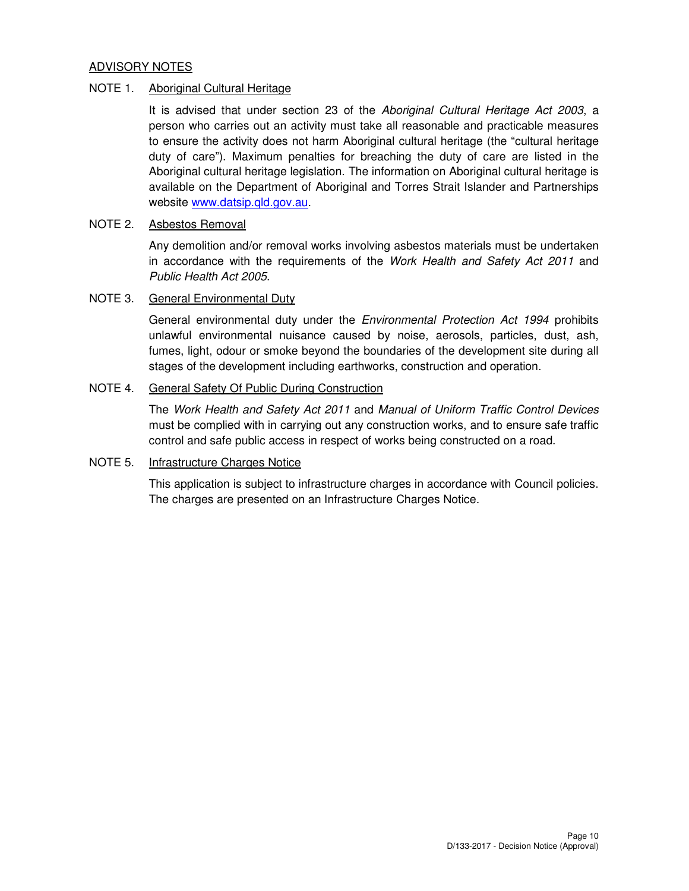# ADVISORY NOTES

# NOTE 1. Aboriginal Cultural Heritage

It is advised that under section 23 of the Aboriginal Cultural Heritage Act 2003, a person who carries out an activity must take all reasonable and practicable measures to ensure the activity does not harm Aboriginal cultural heritage (the "cultural heritage duty of care"). Maximum penalties for breaching the duty of care are listed in the Aboriginal cultural heritage legislation. The information on Aboriginal cultural heritage is available on the Department of Aboriginal and Torres Strait Islander and Partnerships website www.datsip.qld.gov.au.

# NOTE 2. Asbestos Removal

Any demolition and/or removal works involving asbestos materials must be undertaken in accordance with the requirements of the Work Health and Safety Act 2011 and Public Health Act 2005.

# NOTE 3. General Environmental Duty

General environmental duty under the Environmental Protection Act 1994 prohibits unlawful environmental nuisance caused by noise, aerosols, particles, dust, ash, fumes, light, odour or smoke beyond the boundaries of the development site during all stages of the development including earthworks, construction and operation.

## NOTE 4. General Safety Of Public During Construction

The Work Health and Safety Act 2011 and Manual of Uniform Traffic Control Devices must be complied with in carrying out any construction works, and to ensure safe traffic control and safe public access in respect of works being constructed on a road.

## NOTE 5. Infrastructure Charges Notice

This application is subject to infrastructure charges in accordance with Council policies. The charges are presented on an Infrastructure Charges Notice.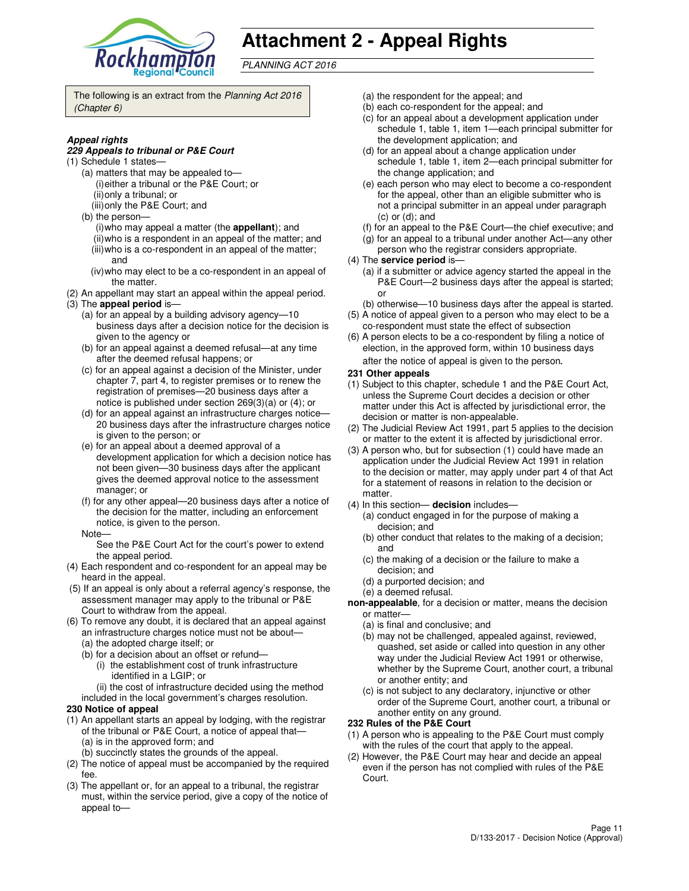

# **Attachment 2 - Appeal Rights**

PLANNING ACT 2016

The following is an extract from the Planning Act 2016 (Chapter 6)

#### **Appeal rights**

#### **229 Appeals to tribunal or P&E Court**

- (1) Schedule 1 states—
	- (a) matters that may be appealed to— (i) either a tribunal or the P&E Court; or (ii) only a tribunal; or
	- (iii) only the P&E Court; and
	- (b) the person—
		- (i) who may appeal a matter (the **appellant**); and (ii) who is a respondent in an appeal of the matter; and (iii) who is a co-respondent in an appeal of the matter;
		- and (iv) who may elect to be a co-respondent in an appeal of
- the matter. (2) An appellant may start an appeal within the appeal period.
- (3) The **appeal period** is—
	- (a) for an appeal by a building advisory agency—10 business days after a decision notice for the decision is given to the agency or
	- (b) for an appeal against a deemed refusal—at any time after the deemed refusal happens; or
	- (c) for an appeal against a decision of the Minister, under chapter 7, part 4, to register premises or to renew the registration of premises—20 business days after a notice is published under section 269(3)(a) or (4); or
	- (d) for an appeal against an infrastructure charges notice— 20 business days after the infrastructure charges notice is given to the person; or
	- (e) for an appeal about a deemed approval of a development application for which a decision notice has not been given—30 business days after the applicant gives the deemed approval notice to the assessment manager; or
	- (f) for any other appeal—20 business days after a notice of the decision for the matter, including an enforcement notice, is given to the person.
	- Note—

See the P&E Court Act for the court's power to extend the appeal period.

- (4) Each respondent and co-respondent for an appeal may be heard in the appeal.
- (5) If an appeal is only about a referral agency's response, the assessment manager may apply to the tribunal or P&E Court to withdraw from the appeal.
- (6) To remove any doubt, it is declared that an appeal against an infrastructure charges notice must not be about—
	- (a) the adopted charge itself; or
	- (b) for a decision about an offset or refund—
		- (i) the establishment cost of trunk infrastructure identified in a LGIP; or
		- (ii) the cost of infrastructure decided using the method
	- included in the local government's charges resolution.

#### **230 Notice of appeal**

- (1) An appellant starts an appeal by lodging, with the registrar of the tribunal or P&E Court, a notice of appeal that— (a) is in the approved form; and
	- (b) succinctly states the grounds of the appeal.
- (2) The notice of appeal must be accompanied by the required fee.
- (3) The appellant or, for an appeal to a tribunal, the registrar must, within the service period, give a copy of the notice of appeal to—
- (a) the respondent for the appeal; and
- (b) each co-respondent for the appeal; and
- (c) for an appeal about a development application under schedule 1, table 1, item 1—each principal submitter for the development application; and
- (d) for an appeal about a change application under schedule 1, table 1, item 2—each principal submitter for the change application; and
- (e) each person who may elect to become a co-respondent for the appeal, other than an eligible submitter who is not a principal submitter in an appeal under paragraph (c) or (d); and
- (f) for an appeal to the P&E Court—the chief executive; and
- (g) for an appeal to a tribunal under another Act—any other
- person who the registrar considers appropriate.
- (4) The **service period** is—
	- (a) if a submitter or advice agency started the appeal in the P&E Court—2 business days after the appeal is started; or
- (b) otherwise—10 business days after the appeal is started. (5) A notice of appeal given to a person who may elect to be a
- co-respondent must state the effect of subsection (6) A person elects to be a co-respondent by filing a notice of
- election, in the approved form, within 10 business days after the notice of appeal is given to the person*.*
- **231 Other appeals**
- (1) Subject to this chapter, schedule 1 and the P&E Court Act, unless the Supreme Court decides a decision or other matter under this Act is affected by jurisdictional error, the decision or matter is non-appealable.
- (2) The Judicial Review Act 1991, part 5 applies to the decision or matter to the extent it is affected by jurisdictional error.
- (3) A person who, but for subsection (1) could have made an application under the Judicial Review Act 1991 in relation to the decision or matter, may apply under part 4 of that Act for a statement of reasons in relation to the decision or matter.
- (4) In this section— **decision** includes—
	- (a) conduct engaged in for the purpose of making a decision; and
	- (b) other conduct that relates to the making of a decision; and
	- (c) the making of a decision or the failure to make a decision; and
	- (d) a purported decision; and
	- (e) a deemed refusal.
- **non-appealable**, for a decision or matter, means the decision or matter—
	- (a) is final and conclusive; and
	- (b) may not be challenged, appealed against, reviewed, quashed, set aside or called into question in any other way under the Judicial Review Act 1991 or otherwise, whether by the Supreme Court, another court, a tribunal or another entity; and
	- (c) is not subject to any declaratory, injunctive or other order of the Supreme Court, another court, a tribunal or another entity on any ground.

#### **232 Rules of the P&E Court**

- (1) A person who is appealing to the P&E Court must comply with the rules of the court that apply to the appeal.
- (2) However, the P&E Court may hear and decide an appeal even if the person has not complied with rules of the P&E Court.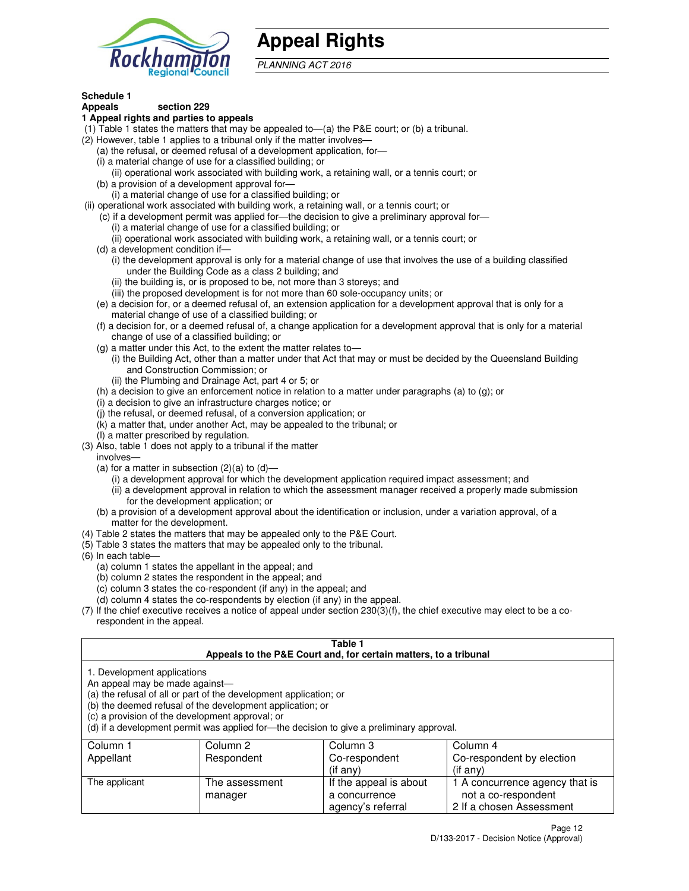

# **Appeal Rights**

PLANNING ACT 2016

# **Schedule 1**

#### **Appeals section 229 1 Appeal rights and parties to appeals**

- (1) Table 1 states the matters that may be appealed to—(a) the P&E court; or (b) a tribunal.
- (2) However, table 1 applies to a tribunal only if the matter involves—
	- (a) the refusal, or deemed refusal of a development application, for—
	- (i) a material change of use for a classified building; or
	- (ii) operational work associated with building work, a retaining wall, or a tennis court; or (b) a provision of a development approval for—
	- (i) a material change of use for a classified building; or
- (ii) operational work associated with building work, a retaining wall, or a tennis court; or
	- (c) if a development permit was applied for—the decision to give a preliminary approval for—
		- (i) a material change of use for a classified building; or
		- (ii) operational work associated with building work, a retaining wall, or a tennis court; or
	- (d) a development condition if—
		- (i) the development approval is only for a material change of use that involves the use of a building classified under the Building Code as a class 2 building; and
		- (ii) the building is, or is proposed to be, not more than 3 storeys; and
		- (iii) the proposed development is for not more than 60 sole-occupancy units; or
	- (e) a decision for, or a deemed refusal of, an extension application for a development approval that is only for a material change of use of a classified building; or
	- (f) a decision for, or a deemed refusal of, a change application for a development approval that is only for a material change of use of a classified building; or
	- (g) a matter under this Act, to the extent the matter relates to—
		- (i) the Building Act, other than a matter under that Act that may or must be decided by the Queensland Building and Construction Commission; or
		- (ii) the Plumbing and Drainage Act, part 4 or 5; or
	- (h) a decision to give an enforcement notice in relation to a matter under paragraphs (a) to (g); or
	- (i) a decision to give an infrastructure charges notice; or
	- (j) the refusal, or deemed refusal, of a conversion application; or
	- (k) a matter that, under another Act, may be appealed to the tribunal; or
	- (l) a matter prescribed by regulation.
- (3) Also, table 1 does not apply to a tribunal if the matter
- involves—
	- (a) for a matter in subsection  $(2)(a)$  to  $(d)$ 
		- (i) a development approval for which the development application required impact assessment; and
		- (ii) a development approval in relation to which the assessment manager received a properly made submission for the development application; or
	- (b) a provision of a development approval about the identification or inclusion, under a variation approval, of a matter for the development.
- (4) Table 2 states the matters that may be appealed only to the P&E Court.
- (5) Table 3 states the matters that may be appealed only to the tribunal.
- (6) In each table—
	- (a) column 1 states the appellant in the appeal; and
	- (b) column 2 states the respondent in the appeal; and
	- (c) column 3 states the co-respondent (if any) in the appeal; and
	- (d) column 4 states the co-respondents by election (if any) in the appeal.
- (7) If the chief executive receives a notice of appeal under section 230(3)(f), the chief executive may elect to be a corespondent in the appeal.

# **Table 1**

|                                                               |                                                                                                                                                                                   | Appeals to the P&E Court and, for certain matters, to a tribunal                         |                           |
|---------------------------------------------------------------|-----------------------------------------------------------------------------------------------------------------------------------------------------------------------------------|------------------------------------------------------------------------------------------|---------------------------|
| 1. Development applications<br>An appeal may be made against— | (a) the refusal of all or part of the development application; or<br>(b) the deemed refusal of the development application; or<br>(c) a provision of the development approval; or | (d) if a development permit was applied for—the decision to give a preliminary approval. |                           |
| Column 1                                                      | Column 2                                                                                                                                                                          | Column 3                                                                                 | Column 4                  |
| Appellant                                                     | Respondent                                                                                                                                                                        | Co-respondent                                                                            | Co-respondent by election |
|                                                               |                                                                                                                                                                                   | (if any)                                                                                 | $(i$ f any)               |
| The applicant                                                 | The assessment                                                                                                                                                                    | If the appeal is about                                                                   | 1 A concurrence agency th |
|                                                               | manager                                                                                                                                                                           | a concurrence                                                                            | not a co-respondent       |

agency's referral

2 If a chosen Assessment

that is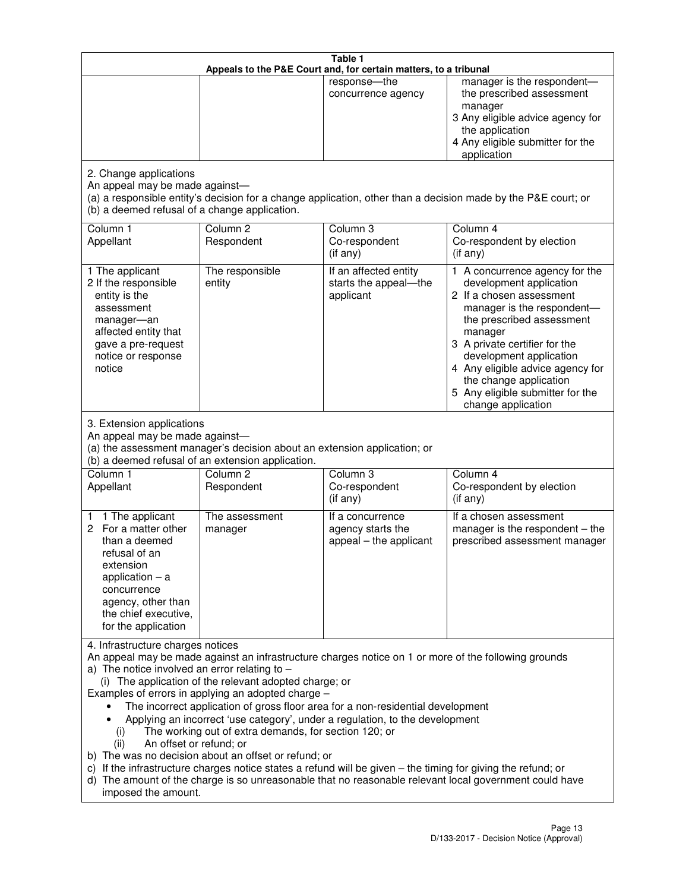|                                                                                                                                                                                                      |                                                                                                                                                                                                                               | Table 1<br>Appeals to the P&E Court and, for certain matters, to a tribunal                                                                                                                                                                                                     |                                                                                                                                                                                                                                                                                                                                                 |
|------------------------------------------------------------------------------------------------------------------------------------------------------------------------------------------------------|-------------------------------------------------------------------------------------------------------------------------------------------------------------------------------------------------------------------------------|---------------------------------------------------------------------------------------------------------------------------------------------------------------------------------------------------------------------------------------------------------------------------------|-------------------------------------------------------------------------------------------------------------------------------------------------------------------------------------------------------------------------------------------------------------------------------------------------------------------------------------------------|
|                                                                                                                                                                                                      |                                                                                                                                                                                                                               | response-the<br>concurrence agency                                                                                                                                                                                                                                              | manager is the respondent-<br>the prescribed assessment<br>manager<br>3 Any eligible advice agency for<br>the application<br>4 Any eligible submitter for the<br>application                                                                                                                                                                    |
| 2. Change applications<br>An appeal may be made against-<br>(b) a deemed refusal of a change application.                                                                                            |                                                                                                                                                                                                                               |                                                                                                                                                                                                                                                                                 | (a) a responsible entity's decision for a change application, other than a decision made by the P&E court; or                                                                                                                                                                                                                                   |
| Column 1<br>Appellant                                                                                                                                                                                | Column <sub>2</sub><br>Respondent                                                                                                                                                                                             | Column 3<br>Co-respondent<br>(if any)                                                                                                                                                                                                                                           | Column 4<br>Co-respondent by election<br>(if any)                                                                                                                                                                                                                                                                                               |
| 1 The applicant<br>2 If the responsible<br>entity is the<br>assessment<br>manager-an<br>affected entity that<br>gave a pre-request<br>notice or response<br>notice                                   | The responsible<br>entity                                                                                                                                                                                                     | If an affected entity<br>starts the appeal-the<br>applicant                                                                                                                                                                                                                     | 1 A concurrence agency for the<br>development application<br>2 If a chosen assessment<br>manager is the respondent-<br>the prescribed assessment<br>manager<br>3 A private certifier for the<br>development application<br>4 Any eligible advice agency for<br>the change application<br>5 Any eligible submitter for the<br>change application |
| 3. Extension applications<br>An appeal may be made against-<br>Column 1<br>Appellant                                                                                                                 | (a) the assessment manager's decision about an extension application; or<br>(b) a deemed refusal of an extension application.<br>Column <sub>2</sub><br>Respondent                                                            | Column 3<br>Co-respondent                                                                                                                                                                                                                                                       | Column 4<br>Co-respondent by election                                                                                                                                                                                                                                                                                                           |
| 1 The applicant<br>1<br>2 For a matter other<br>than a deemed<br>refusal of an<br>extension<br>application $-$ a<br>concurrence<br>agency, other than<br>the chief executive,<br>for the application | The assessment<br>manager                                                                                                                                                                                                     | (if any)<br>If a concurrence<br>agency starts the<br>appeal - the applicant                                                                                                                                                                                                     | (if any)<br>If a chosen assessment<br>manager is the respondent $-$ the<br>prescribed assessment manager                                                                                                                                                                                                                                        |
| 4. Infrastructure charges notices<br>a) The notice involved an error relating to $-$<br>(i)<br>An offset or refund; or<br>(ii)<br>imposed the amount.                                                | (i) The application of the relevant adopted charge; or<br>Examples of errors in applying an adopted charge -<br>The working out of extra demands, for section 120; or<br>b) The was no decision about an offset or refund; or | The incorrect application of gross floor area for a non-residential development<br>Applying an incorrect 'use category', under a regulation, to the development<br>c) If the infrastructure charges notice states a refund will be given - the timing for giving the refund; or | An appeal may be made against an infrastructure charges notice on 1 or more of the following grounds<br>d) The amount of the charge is so unreasonable that no reasonable relevant local government could have                                                                                                                                  |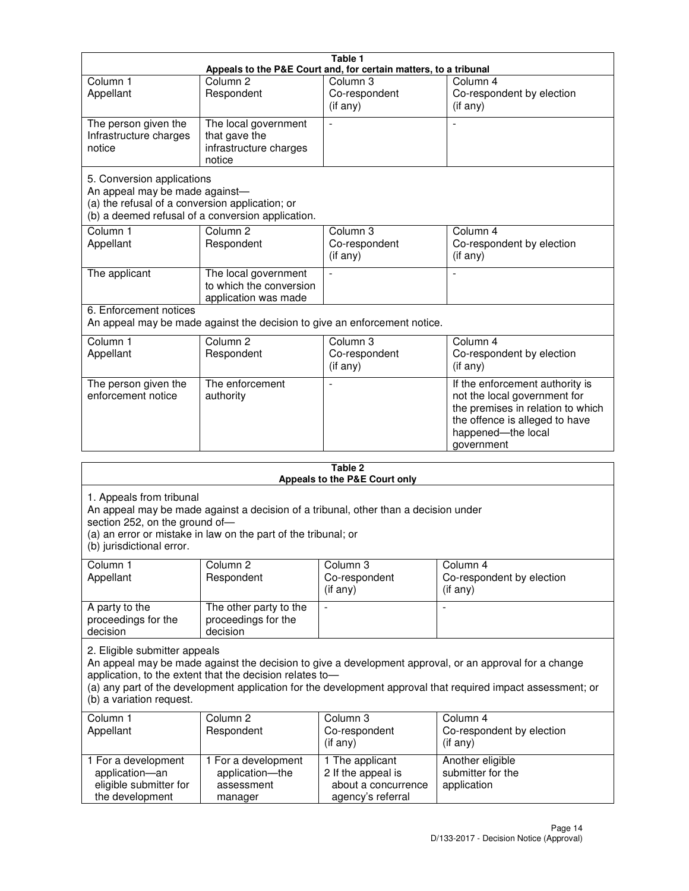|                                                                                                                 |                                                                           | Table 1                                                          |                                                                                                                                                                            |
|-----------------------------------------------------------------------------------------------------------------|---------------------------------------------------------------------------|------------------------------------------------------------------|----------------------------------------------------------------------------------------------------------------------------------------------------------------------------|
|                                                                                                                 |                                                                           | Appeals to the P&E Court and, for certain matters, to a tribunal |                                                                                                                                                                            |
| Column <sub>1</sub><br>Appellant                                                                                | Column <sub>2</sub><br>Respondent                                         | Column 3<br>Co-respondent<br>(if any)                            | Column 4<br>Co-respondent by election<br>(if any)                                                                                                                          |
| The person given the<br>Infrastructure charges<br>notice                                                        | The local government<br>that gave the<br>infrastructure charges<br>notice |                                                                  |                                                                                                                                                                            |
| 5. Conversion applications<br>An appeal may be made against-<br>(a) the refusal of a conversion application; or | (b) a deemed refusal of a conversion application.                         |                                                                  |                                                                                                                                                                            |
| Column <sub>1</sub><br>Appellant                                                                                | Column <sub>2</sub><br>Respondent                                         | Column <sub>3</sub><br>Co-respondent<br>(if any)                 | Column 4<br>Co-respondent by election<br>(if any)                                                                                                                          |
| The applicant                                                                                                   | The local government<br>to which the conversion<br>application was made   |                                                                  |                                                                                                                                                                            |
| 6. Enforcement notices                                                                                          | An appeal may be made against the decision to give an enforcement notice. |                                                                  |                                                                                                                                                                            |
| Column <sub>1</sub><br>Appellant                                                                                | Column <sub>2</sub><br>Respondent                                         | Column <sub>3</sub><br>Co-respondent<br>(if any)                 | Column 4<br>Co-respondent by election<br>(if any)                                                                                                                          |
| The person given the<br>enforcement notice                                                                      | The enforcement<br>authority                                              |                                                                  | If the enforcement authority is<br>not the local government for<br>the premises in relation to which<br>the offence is alleged to have<br>happened-the local<br>government |
|                                                                                                                 |                                                                           | 9 Ahla                                                           |                                                                                                                                                                            |

| Table 2<br>Appeals to the P&E Court only                                                                                                                                                                                                                                                                                                        |                                                                                                                                                       |                                                                                   |                                                              |
|-------------------------------------------------------------------------------------------------------------------------------------------------------------------------------------------------------------------------------------------------------------------------------------------------------------------------------------------------|-------------------------------------------------------------------------------------------------------------------------------------------------------|-----------------------------------------------------------------------------------|--------------------------------------------------------------|
| 1. Appeals from tribunal<br>section 252, on the ground of-<br>(b) jurisdictional error.                                                                                                                                                                                                                                                         | An appeal may be made against a decision of a tribunal, other than a decision under<br>(a) an error or mistake in law on the part of the tribunal; or |                                                                                   |                                                              |
| Column <sub>1</sub><br>Appellant                                                                                                                                                                                                                                                                                                                | Column <sub>2</sub><br>Respondent                                                                                                                     | Column 3<br>Co-respondent<br>(if any)                                             | Column <sub>4</sub><br>Co-respondent by election<br>(if any) |
| A party to the<br>proceedings for the<br>decision                                                                                                                                                                                                                                                                                               | The other party to the<br>proceedings for the<br>decision                                                                                             | $\blacksquare$                                                                    |                                                              |
| 2. Eligible submitter appeals<br>An appeal may be made against the decision to give a development approval, or an approval for a change<br>application, to the extent that the decision relates to-<br>(a) any part of the development application for the development approval that required impact assessment; or<br>(b) a variation request. |                                                                                                                                                       |                                                                                   |                                                              |
| Column 1<br>Appellant                                                                                                                                                                                                                                                                                                                           | Column <sub>2</sub><br>Respondent                                                                                                                     | Column <sub>3</sub><br>Co-respondent<br>(i f any)                                 | Column 4<br>Co-respondent by election<br>(i f any)           |
| 1 For a development<br>application-an<br>eligible submitter for<br>the development                                                                                                                                                                                                                                                              | 1 For a development<br>application-the<br>assessment<br>manager                                                                                       | 1 The applicant<br>2 If the appeal is<br>about a concurrence<br>agency's referral | Another eligible<br>submitter for the<br>application         |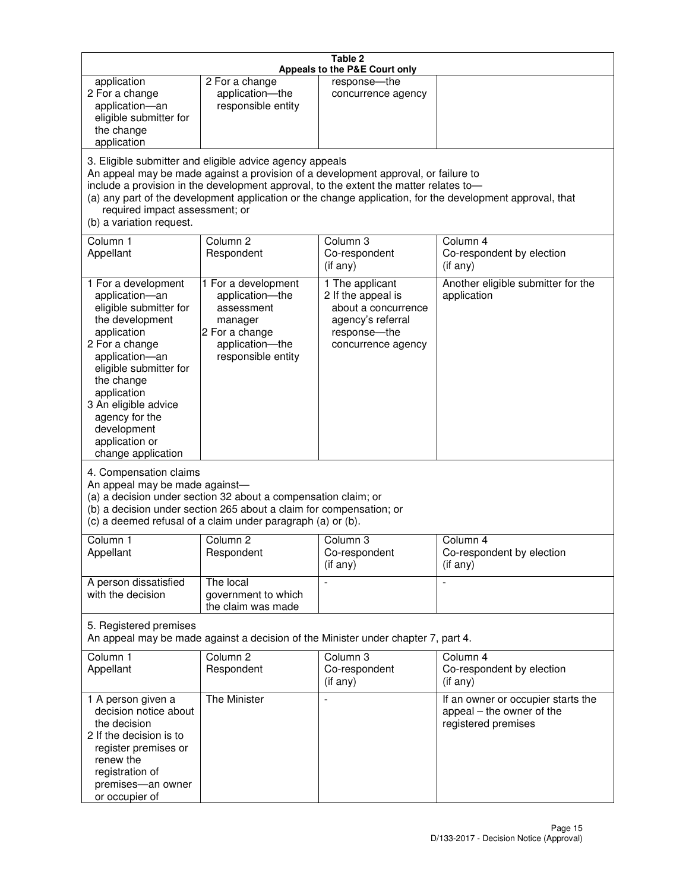|                                                                                                                                                                                                                                                                                                                                                                                                                    |                                                                                                                            | Table 2<br>Appeals to the P&E Court only                                                                                |                                                                                        |
|--------------------------------------------------------------------------------------------------------------------------------------------------------------------------------------------------------------------------------------------------------------------------------------------------------------------------------------------------------------------------------------------------------------------|----------------------------------------------------------------------------------------------------------------------------|-------------------------------------------------------------------------------------------------------------------------|----------------------------------------------------------------------------------------|
| application<br>2 For a change<br>application-an<br>eligible submitter for<br>the change<br>application                                                                                                                                                                                                                                                                                                             | 2 For a change<br>application-the<br>responsible entity                                                                    | response-the<br>concurrence agency                                                                                      |                                                                                        |
| 3. Eligible submitter and eligible advice agency appeals<br>An appeal may be made against a provision of a development approval, or failure to<br>include a provision in the development approval, to the extent the matter relates to-<br>(a) any part of the development application or the change application, for the development approval, that<br>required impact assessment; or<br>(b) a variation request. |                                                                                                                            |                                                                                                                         |                                                                                        |
| Column 1<br>Appellant                                                                                                                                                                                                                                                                                                                                                                                              | Column <sub>2</sub><br>Respondent                                                                                          | Column <sub>3</sub><br>Co-respondent<br>(if any)                                                                        | Column 4<br>Co-respondent by election<br>(i f any)                                     |
| 1 For a development<br>application-an<br>eligible submitter for<br>the development<br>application<br>2 For a change<br>application-an<br>eligible submitter for<br>the change<br>application<br>3 An eligible advice<br>agency for the<br>development<br>application or<br>change application                                                                                                                      | 1 For a development<br>application-the<br>assessment<br>manager<br>2 For a change<br>application-the<br>responsible entity | 1 The applicant<br>2 If the appeal is<br>about a concurrence<br>agency's referral<br>response-the<br>concurrence agency | Another eligible submitter for the<br>application                                      |
| 4. Compensation claims<br>An appeal may be made against-<br>(a) a decision under section 32 about a compensation claim; or<br>(b) a decision under section 265 about a claim for compensation; or<br>(c) a deemed refusal of a claim under paragraph (a) or (b).                                                                                                                                                   |                                                                                                                            |                                                                                                                         |                                                                                        |
| Column 1<br>Appellant                                                                                                                                                                                                                                                                                                                                                                                              | Column 2<br>Respondent                                                                                                     | Column 3<br>Co-respondent<br>(if any)                                                                                   | Column 4<br>Co-respondent by election<br>(if any)                                      |
| A person dissatisfied<br>with the decision                                                                                                                                                                                                                                                                                                                                                                         | The local<br>government to which<br>the claim was made                                                                     |                                                                                                                         | $\blacksquare$                                                                         |
| 5. Registered premises                                                                                                                                                                                                                                                                                                                                                                                             | An appeal may be made against a decision of the Minister under chapter 7, part 4.                                          |                                                                                                                         |                                                                                        |
| Column 1<br>Appellant                                                                                                                                                                                                                                                                                                                                                                                              | Column <sub>2</sub><br>Respondent                                                                                          | Column 3<br>Co-respondent<br>(if any)                                                                                   | Column 4<br>Co-respondent by election<br>(if any)                                      |
| 1 A person given a<br>decision notice about<br>the decision<br>2 If the decision is to<br>register premises or<br>renew the<br>registration of<br>premises-an owner<br>or occupier of                                                                                                                                                                                                                              | The Minister                                                                                                               | $\overline{a}$                                                                                                          | If an owner or occupier starts the<br>appeal - the owner of the<br>registered premises |